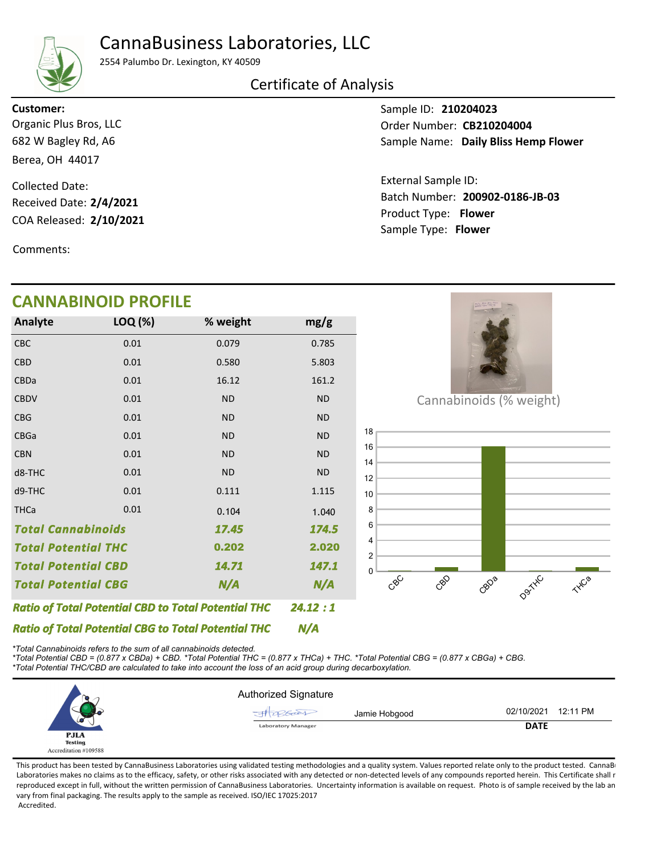## CannaBusiness Laboratories, LLC



2554 Palumbo Dr. Lexington, KY 40509

### Certificate of Analysis

682 W Bagley Rd, A6 Berea, OH 44017 Organic Plus Bros, LLC Customer:

COA Released: 2/10/2021 Collected Date: Received Date: 2/4/2021

Comments:

## CANNABINOID PROFILE

CBC 0.01 0.079 0.785 N/A 24.12 : 1 17.45 Total Potential CBD 2.020 Total Potential CBG 14.71 Total Cannabinoids Ratio of Total Potential CBD to Total Potential THC N/A 174.5 0.610 0.202 2.020147.1 Total Potential THC CBD CBDa CBDV CBG CBGa **CBN** d8-THC d9-THC **THCa** 0.01 0.01 0.01 0.01 0.01 0.01 0.01 0.01 0.01 0.580 16.12 ND ND ND ND ND 0.111 0.104 5.803 161.2 ND ND ND ND ND 1.115 5.689 0.104 1.040 Analyte LOQ (%) mg/g % weight

Sample ID: 210204023 Sample Name: Daily Bliss Hemp Flower Order Number: CB210204004

Product Type: Flower 2/10/2021 Batch Number: 200902-0186-JB-03 External Sample ID: Sample Type: Flower



Cannabinoids (% weight)



Ratio of Total Potential CBG to Total Potential THC

\*Total Cannabinoids refers to the sum of all cannabinoids detected.

\*Total Potential CBD = (0.877 x CBDa) + CBD. \*Total Potential THC = (0.877 x THCa) + THC. \*Total Potential CBG = (0.877 x CBGa) + CBG.

\*Total Potential THC/CBD are calculated to take into account the loss of an acid group during decarboxylation.

|                       | Authorized Signature       |                        |
|-----------------------|----------------------------|------------------------|
|                       | Jamie Hobgood<br>JATOBGOOD | 02/10/2021<br>12:11 PM |
| ᄹ                     | <b>Laboratory Manager</b>  | <b>DATE</b>            |
| <b>PJLA</b>           |                            |                        |
| <b>Testing</b>        |                            |                        |
| Accreditation #109588 |                            |                        |

N/A

This product has been tested by CannaBusiness Laboratories using validated testing methodologies and a quality system. Values reported relate only to the product tested. CannaB Laboratories makes no claims as to the efficacy, safety, or other risks associated with any detected or non-detected levels of any compounds reported herein. This Certificate shall r reproduced except in full, without the written permission of CannaBusiness Laboratories. Uncertainty information is available on request. Photo is of sample received by the lab an vary from final packaging. The results apply to the sample as received. ISO/IEC 17025:2017 Accredited.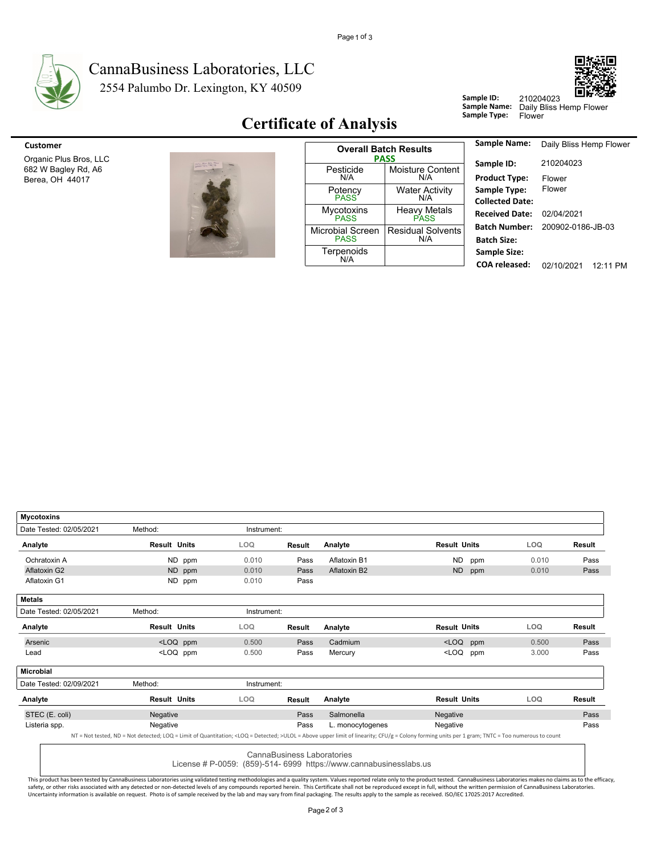

#### 2554 Palumbo Dr. Lexington, KY 40509 CannaBusiness Laboratories, LLC



**Certificate of Analysis** 



| Customer                                                         |                                        | <b>Overall Batch Results</b>                  | <b>Sample Name:</b>                        |
|------------------------------------------------------------------|----------------------------------------|-----------------------------------------------|--------------------------------------------|
| Organic Plus Bros, LLC<br>682 W Bagley Rd, A6<br>Berea, OH 44017 | Pesticide<br>N/A                       | <b>PASS</b><br><b>Moisture Content</b><br>N/A | Sample ID:<br><b>Product Type:</b>         |
|                                                                  | Potency<br><b>PASS</b>                 | <b>Water Activity</b><br>N/A                  | Sample Type:<br><b>Collected Date</b>      |
|                                                                  | <b>Mycotoxins</b><br><b>PASS</b>       | <b>Heavy Metals</b><br><b>PASS</b>            | <b>Received Date</b>                       |
|                                                                  | <b>Microbial Screen</b><br><b>PASS</b> | <b>Residual Solvents</b><br>N/A               | <b>Batch Number</b><br><b>Batch Size:</b>  |
|                                                                  | Terpenoids<br>N/A                      |                                               | <b>Sample Size:</b><br>$C0$ $R1$ $C2$ $C3$ |

| Sample Name:           | Daily Bliss Hemp Flower |            |
|------------------------|-------------------------|------------|
| Sample ID:             | 210204023               |            |
| <b>Product Type:</b>   | Flower                  |            |
| <b>Sample Type:</b>    | Flower                  |            |
| <b>Collected Date:</b> |                         |            |
| <b>Received Date:</b>  | 02/04/2021              |            |
| Batch Number:          | 200902-0186-JB-03       |            |
| <b>Batch Size:</b>     |                         |            |
| <b>Sample Size:</b>    |                         |            |
| <b>COA</b> released:   | 02/10/2021              | $12.11$ PM |

Sample ID:

| <b>Mycotoxins</b>       |                                                                                                                                                                                                            |             |                            |                                                                    |                     |       |            |               |
|-------------------------|------------------------------------------------------------------------------------------------------------------------------------------------------------------------------------------------------------|-------------|----------------------------|--------------------------------------------------------------------|---------------------|-------|------------|---------------|
| Date Tested: 02/05/2021 | Method:                                                                                                                                                                                                    | Instrument: |                            |                                                                    |                     |       |            |               |
| Analyte                 | <b>Result Units</b>                                                                                                                                                                                        | LOQ         | <b>Result</b>              | Analyte                                                            | <b>Result Units</b> |       | LOQ        | <b>Result</b> |
| Ochratoxin A            | ND ppm                                                                                                                                                                                                     | 0.010       | Pass                       | Aflatoxin B1                                                       | ND.                 | ppm   | 0.010      | Pass          |
| Aflatoxin G2            | ND ppm                                                                                                                                                                                                     | 0.010       | Pass                       | Aflatoxin B2                                                       | <b>ND</b>           | ppm   | 0.010      | Pass          |
| Aflatoxin G1            | ND ppm                                                                                                                                                                                                     | 0.010       | Pass                       |                                                                    |                     |       |            |               |
| <b>Metals</b>           |                                                                                                                                                                                                            |             |                            |                                                                    |                     |       |            |               |
| Date Tested: 02/05/2021 | Method:                                                                                                                                                                                                    | Instrument: |                            |                                                                    |                     |       |            |               |
| Analyte                 | <b>Result Units</b>                                                                                                                                                                                        | LOQ         | <b>Result</b>              | Analyte                                                            | <b>Result Units</b> |       | LOQ        | <b>Result</b> |
| Arsenic                 | <loq ppm<="" td=""><td>0.500</td><td>Pass</td><td>Cadmium</td><td><math>&lt;</math>LOQ</td><td>ppm</td><td>0.500</td><td>Pass</td></loq>                                                                   | 0.500       | Pass                       | Cadmium                                                            | $<$ LOQ             | ppm   | 0.500      | Pass          |
| Lead                    | <loq ppm<="" td=""><td>0.500</td><td>Pass</td><td colspan="2"><loq<br>Mercury<br/>ppm</loq<br></td><td>3.000</td><td>Pass</td></loq>                                                                       | 0.500       | Pass                       | <loq<br>Mercury<br/>ppm</loq<br>                                   |                     | 3.000 | Pass       |               |
| <b>Microbial</b>        |                                                                                                                                                                                                            |             |                            |                                                                    |                     |       |            |               |
| Date Tested: 02/09/2021 | Method:                                                                                                                                                                                                    | Instrument: |                            |                                                                    |                     |       |            |               |
| Analyte                 | <b>Result Units</b>                                                                                                                                                                                        | LOQ.        | <b>Result</b>              | Analyte                                                            | <b>Result Units</b> |       | <b>LOQ</b> | <b>Result</b> |
| STEC (E. coli)          | Negative                                                                                                                                                                                                   |             | Pass                       | Salmonella                                                         | Negative            |       |            | Pass          |
| Listeria spp.           | Negative                                                                                                                                                                                                   |             | Pass                       | L. monocytogenes                                                   | Negative            |       |            | Pass          |
|                         | NT = Not tested, ND = Not detected; LOQ = Limit of Quantitation; <loq =="" detected;="">ULOL = Above upper limit of linearity; CFU/g = Colony forming units per 1 gram; TNTC = Too numerous to count</loq> |             |                            |                                                                    |                     |       |            |               |
|                         |                                                                                                                                                                                                            |             | CannaBusiness Laboratories |                                                                    |                     |       |            |               |
|                         |                                                                                                                                                                                                            |             |                            | License # P-0059: (859)-514- 6999 https://www.cannabusinesslabs.us |                     |       |            |               |

This product has been tested by CannaBusiness Laboratories using validated testing methodologies and a quality system. Values reported relate only to the product tested. CannaBusiness Laboratories makes no claims as to th Uncertainty information is available on request. Photo is of sample received by the lab and may vary from final packaging. The results apply to the sample as received. ISO/IEC 17025:2017 Accredited.